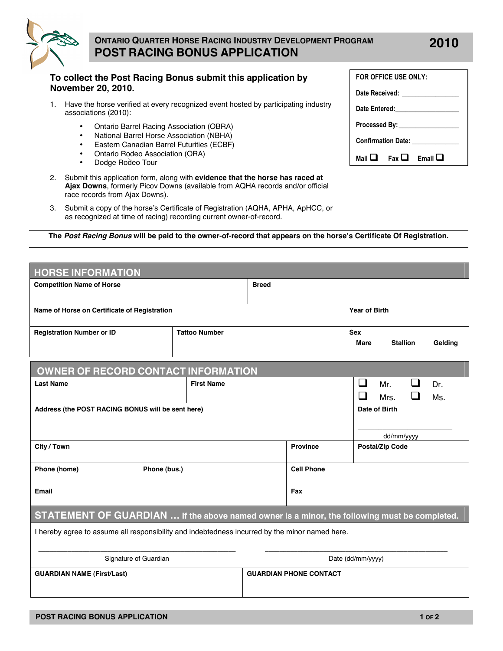

## **ONTARIO QUARTER HORSE RACING INDUSTRY DEVELOPMENT PROGRAM POST RACING BONUS APPLICATION**

## **To collect the Post Racing Bonus submit this application by November 20, 2010.**

- 1. Have the horse verified at every recognized event hosted by participating industry associations (2010):
	- Ontario Barrel Racing Association (OBRA)<br>• National Barrel Horse Association (NBHA)
	- National Barrel Horse Association (NBHA)
	- Eastern Canadian Barrel Futurities (ECBF)
	- Ontario Rodeo Association (ORA)
	- Dodge Rodeo Tour
- 2. Submit this application form, along with **evidence that the horse has raced at Ajax Downs**, formerly Picov Downs (available from AQHA records and/or official race records from Ajax Downs).
- 3. Submit a copy of the horse's Certificate of Registration (AQHA, APHA, ApHCC, or as recognized at time of racing) recording current owner-of-record.

**The** *Post Racing Bonus* **will be paid to the owner-of-record that appears on the horse's Certificate Of Registration.**

| <b>HORSE INFORMATION</b>                                                                       |                      |  |                               |                           |                                |            |  |
|------------------------------------------------------------------------------------------------|----------------------|--|-------------------------------|---------------------------|--------------------------------|------------|--|
| <b>Competition Name of Horse</b>                                                               | <b>Breed</b>         |  |                               |                           |                                |            |  |
| Name of Horse on Certificate of Registration                                                   | <b>Year of Birth</b> |  |                               |                           |                                |            |  |
| <b>Registration Number or ID</b>                                                               | <b>Tattoo Number</b> |  |                               | <b>Sex</b><br><b>Mare</b> | <b>Stallion</b>                | Gelding    |  |
| <b>OWNER OF RECORD CONTACT INFORMATION</b>                                                     |                      |  |                               |                           |                                |            |  |
| <b>Last Name</b>                                                                               | <b>First Name</b>    |  |                               | ⊔<br>$\Box$               | l 1<br>$Mr_{-}$<br>l 1<br>Mrs. | Dr.<br>Ms. |  |
| Address (the POST RACING BONUS will be sent here)                                              |                      |  |                               |                           | Date of Birth                  |            |  |
|                                                                                                |                      |  |                               |                           | dd/mm/yyyy                     |            |  |
| City / Town                                                                                    |                      |  | <b>Province</b>               |                           | <b>Postal/Zip Code</b>         |            |  |
| Phone (home)                                                                                   | Phone (bus.)         |  | <b>Cell Phone</b>             |                           |                                |            |  |
| <b>Email</b>                                                                                   |                      |  | Fax                           |                           |                                |            |  |
| STATEMENT OF GUARDIAN  If the above named owner is a minor, the following must be completed.   |                      |  |                               |                           |                                |            |  |
| I hereby agree to assume all responsibility and indebtedness incurred by the minor named here. |                      |  |                               |                           |                                |            |  |
| Signature of Guardian                                                                          | Date (dd/mm/yyyy)    |  |                               |                           |                                |            |  |
| <b>GUARDIAN NAME (First/Last)</b>                                                              |                      |  | <b>GUARDIAN PHONE CONTACT</b> |                           |                                |            |  |

| FOR OFFICE USE ONLY:              |  |                                     |  |  |  |  |
|-----------------------------------|--|-------------------------------------|--|--|--|--|
| Date Received: _________________  |  |                                     |  |  |  |  |
|                                   |  |                                     |  |  |  |  |
| Processed By: ___________________ |  |                                     |  |  |  |  |
| Confirmation Date: _____________  |  |                                     |  |  |  |  |
|                                   |  | Mail $\Box$ Fax $\Box$ Email $\Box$ |  |  |  |  |